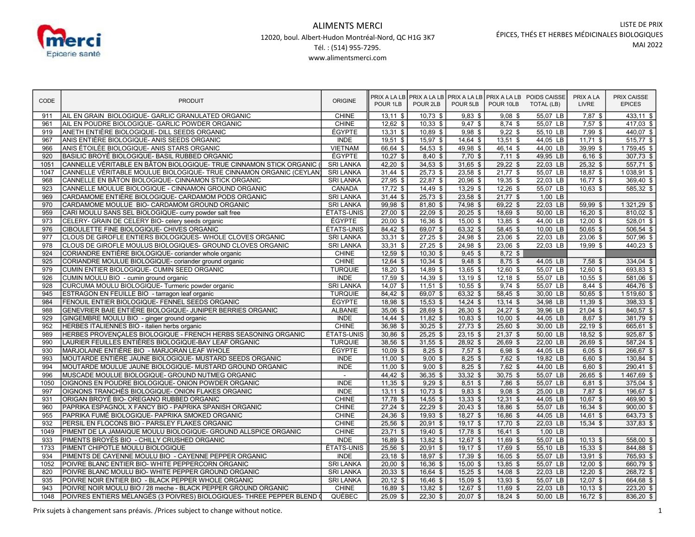

## ALIMENTS MERCI 12020, boul. Albert-Hudon Montréal-Nord, QC H1G 3K7 Tél. : (514) 955-7295. www.alimentsmerci.com

| CODE | <b>PRODUIT</b>                                                         | <b>ORIGINE</b>    | POUR 1LB   | POUR 2LB   | POUR 5LB   | POUR 10LB  | PRIX A LA LB PRIX A LA LB PRIX A LA LB PRIX A LA LB POIDS CAISSE<br>TOTAL (LB) | PRIX A LA<br>LIVRE | PRIX CAISSE<br><b>EPICES</b> |
|------|------------------------------------------------------------------------|-------------------|------------|------------|------------|------------|--------------------------------------------------------------------------------|--------------------|------------------------------|
| 911  | AIL EN GRAIN BIOLOGIQUE- GARLIC GRANULATED ORGANIC                     | <b>CHINE</b>      | $13,11$ \$ | $10,73$ \$ | $9,83$ \$  | $9,08$ \$  | 55,07 LB                                                                       | $7,87$ \$          | $433,11$ \$                  |
| 961  | AIL EN POUDRE BIOLOGIQUE- GARLIC POWDER ORGANIC                        | CHINE             | $12,62$ \$ | $10,33$ \$ | $9,47$ \$  | $8,74$ \$  | 55,07 LB                                                                       | $7,57$ \$          | $417,03$ \$                  |
| 919  | ANETH ENTIÈRE BIOLOGIQUE- DILL SEEDS ORGANIC                           | ÉGYPTE            | $13,31$ \$ | $10,89$ \$ | $9.98$ \$  | $9,22$ \$  | 55,10 LB                                                                       | 7,99 \$            | 440,07 \$                    |
| 967  | ANIS ENTIÈRE BIOLOGIQUE- ANIS SEEDS ORGANIC                            | <b>INDE</b>       | $19,51$ \$ | 15,97 \$   | 14,64 \$   | $13,51$ \$ | 44,05 LB                                                                       | $11,71$ \$         | $515,77$ \$                  |
| 966  | ANIS ÉTOILÉE BIOLOGIQUE- ANIS STARS ORGANIC                            | <b>VIETNAM</b>    | 66,64 \$   | 54,53 \$   | 49,98 \$   | $46,14$ \$ | 44.00 LB                                                                       | 39,99 \$           | $1759,45$ \$                 |
| 920  | BASILIC BROYÉ BIOLOGIQUE- BASIL RUBBED ORGANIC                         | ÉGYPTE            | $10,27$ \$ | $8,40$ \$  | $7,70$ \$  | $7,11$ \$  | 49,95 LB                                                                       | $6,16$ \$          | $307,73$ \$                  |
| 1051 | CANNELLE VÉRITABLE EN BÂTON BIOLOGIQUE- TRUE CINNAMON STICK ORGANIC    | <b>SRI LANKA</b>  | $42,20$ \$ | $34,53$ \$ | 31,65 \$   | $29,22$ \$ | 22,03 LB                                                                       | $25,32$ \$         | $557,71$ \$                  |
| 1047 | CANNELLE VÉRITABLE MOULUE BIOLOGIQUE- TRUE CINNAMON ORGANIC (CEYLAN)   | <b>SRI LANKA</b>  | $31,44$ \$ | $25,73$ \$ | 23,58 \$   | $21,77$ \$ | 55,07 LB                                                                       | $18,87$ \$         | $1038,91$ \$                 |
| 968  | CANNELLE EN BÂTON BIOLOGIQUE- CINNAMON STICK ORGANIC                   | <b>SRI LANKA</b>  | $27,95$ \$ | 22,87 \$   | 20,96 \$   | $19,35$ \$ | 22,03 LB                                                                       | $16,77$ \$         | $369,40$ \$                  |
| 923  | CANNELLE MOULUE BIOLOGIQUE - CINNAMON GROUND ORGANIC                   | CANADA            | $17,72$ \$ | $14,49$ \$ | $13,29$ \$ | $12,26$ \$ | 55,07 LB                                                                       | $10,63$ \$         | $\overline{585,32}$ \$       |
| 969  | CARDAMOME ENTIÈRE BIOLOGIQUE- CARDAMOM PODS ORGANIC                    | <b>SRI LANKA</b>  | $31,44$ \$ | $25,73$ \$ | $23,58$ \$ | $21,77$ \$ | $1,00$ LB                                                                      |                    |                              |
| 970  | CARDAMOME MOULUE BIO- CARDAMOM GROUND ORGANIC                          | <b>SRI LANKA</b>  | $99,98$ \$ | $81,80$ \$ | 74,98 \$   | $69,22$ \$ | 22,03 LB                                                                       | $59,99$ \$         | $1321,29$ \$                 |
| 959  | CARI MOULU SANS SEL BIOLOGIQUE- curry powder salt free                 | <b>ÉTATS-UNIS</b> | $27,00$ \$ | $22,09$ \$ | $20,25$ \$ | $18,69$ \$ | 50,00 LB                                                                       | 16,20 \$           | $810,02$ \$                  |
| 973  | CELERY- GRAIN DE CELERY BIO- celery seeds organic                      | ÉGYPTE            | $20,00$ \$ | 16,36 \$   | $15,00$ \$ | $13,85$ \$ | 44,00 LB                                                                       | $12,00$ \$         | $528,01$ \$                  |
| 976  | CIBOULETTE FINE BIOLOGIQUE- CHIVES ORGANIC                             | ÉTATS-UNIS        | $84,42$ \$ | 69,07 \$   | $63,32$ \$ | $58,45$ \$ | 10,00 LB                                                                       | 50,65 \$           | $506,54$ \$                  |
| 977  | CLOUS DE GIROFLE ENTIERS BIOLOGIQUES- WHOLE CLOVES ORGANIC             | <b>SRI LANKA</b>  | $33,31$ \$ | $27,25$ \$ | 24,98 \$   | $23,06$ \$ | 22,03 LB                                                                       | $23,06$ \$         | $507,96$ \$                  |
| 978  | CLOUS DE GIROFLE MOULUS BIOLOGIQUES- GROUND CLOVES ORGANIC             | <b>SRI LANKA</b>  | $33,31$ \$ | $27,25$ \$ | 24,98 \$   | $23,06$ \$ | 22,03 LB                                                                       | 19,99 \$           | $440,23$ \$                  |
| 924  | CORIANDRE ENTIÈRE BIOLOGIQUE- coriander whole organic                  | <b>CHINE</b>      | $12,59$ \$ | $10,30$ \$ | $9,45$ \$  | $8,72$ \$  |                                                                                |                    |                              |
| 925  | CORIANDRE MOULUE BIOLOGIQUE- coriander ground organic                  | <b>CHINE</b>      | $12,64$ \$ | $10,34$ \$ | $9,48$ \$  | $8,75$ \$  | 44,05 LB                                                                       | $7,58$ \$          | $334,04$ \$                  |
| 979  | CUMIN ENTIER BIOLOGIQUE- CUMIN SEED ORGANIC                            | <b>TURQUIE</b>    | $18,20$ \$ | 14,89 \$   | 13,65 \$   | $12,60$ \$ | 55,07 LB                                                                       | $12,60$ \$         | $693,83$ \$                  |
| 926  | CUMIN MOULU BIO - cumin ground organic                                 | <b>INDE</b>       | $17,59$ \$ | $14,39$ \$ | $13,19$ \$ | $12,18$ \$ | 55,07 LB                                                                       | $10,55$ \$         | 581,06 \$                    |
| 928  | CURCUMA MOULU BIOLOGIQUE- Turmeric powder organic                      | <b>SRI LANKA</b>  | $14.07$ \$ | $11,51$ \$ | $10,55$ \$ | $9,74$ \$  | 55,07 LB                                                                       | $8,44$ \$          | 464,76 \$                    |
| 945  | ESTRAGON EN FEUILLE BIO - tarragon leaf organic                        | <b>TURQUIE</b>    | $84,42$ \$ | 69,07 \$   | $63,32$ \$ | 58,45 \$   | 30,00 LB                                                                       | $50,65$ \$         | 1519,60 \$                   |
| 984  | FENOUIL ENTIER BIOLOGIQUE- FENNEL SEEDS ORGANIC                        | ÉGYPTE            | 18,98 \$   | $15,53$ \$ | $14,24$ \$ | $13,14$ \$ | 34,98 LB                                                                       | $11,39$ \$         | $398,33$ \$                  |
| 988  | GENEVRIER BAIE ENTIÈRE BIOLOGIQUE- JUNIPER BERRIES ORGANIC             | <b>ALBANIE</b>    | $35,06$ \$ | 28,69 \$   | $26,30$ \$ | $24,27$ \$ | 39,96 LB                                                                       | $21,04$ \$         | $840,57$ \$                  |
| 929  | GINGEMBRE MOULU BIO - ginger ground organic                            | <b>INDE</b>       | $14,44$ \$ | $11,82$ \$ | $10,83$ \$ | $10,00$ \$ | 44,05 LB                                                                       | 8,67 \$            | 381,79 \$                    |
| 952  | HERBES ITALIENNES BIO - italien herbs organic                          | <b>CHINE</b>      | $36,98$ \$ | $30,25$ \$ | $27,73$ \$ | $25,60$ \$ | 30,00 LB                                                                       | $22,19$ \$         | 665,61 \$                    |
| 989  | HERBES PROVENÇALES BIOLOGIQUE - FRENCH HERBS SEASONING ORGANIC         | ÉTATS-UNIS        | 30,86 \$   | $25,25$ \$ | $23,15$ \$ | $21,37$ \$ | 50,00 LB                                                                       | 18,52 \$           | 925,87 \$                    |
| 990  | LAURIER FEUILLES ENTIÈRES BIOLOGIQUE-BAY LEAF ORGANIC                  | <b>TURQUIE</b>    | $38,56$ \$ | $31,55$ \$ | $28,92$ \$ | $26,69$ \$ | 22,00 LB                                                                       | $26,69$ \$         | $587,24$ \$                  |
| 930  | MARJOLAINE ENTIÈRE BIO - MARJORAN LEAF WHOLE                           | ÉGYPTE            | $10,09$ \$ | $8,25$ \$  | $7,57$ \$  | $6,98$ \$  | 44,05 LB                                                                       | $6,05$ \$          | 266,67 \$                    |
| 993  | MOUTARDE ENTIÈRE JAUNE BIOLOGIQUE- MUSTARD SEEDS ORGANIC               | <b>INDE</b>       | $11,00$ \$ | $9,00$ \$  | $8,25$ \$  | $7,62$ \$  | 19,82 LB                                                                       | $6,60$ \$          | 130,84 \$                    |
| 994  | MOUTARDE MOULUE JAUNE BIOLOGIQUE- MUSTARD GROUND ORGANIC               | <b>INDE</b>       | $11,00$ \$ | $9,00$ \$  | $8,25$ \$  | $7,62$ \$  | 44,00 LB                                                                       | $6,60$ \$          | $290,41$ \$                  |
| 996  | MUSCADE MOULUE BIOLOGIQUE- GROUND NUTMEG ORGANIC                       | $\sim$            | 44,42 \$   | $36,35$ \$ | $33,32$ \$ | $30,75$ \$ | 55,07 LB                                                                       | $26,65$ \$         | 1467,69 \$                   |
| 1050 | OIGNONS EN POUDRE BIOLOGIQUE- ONION POWDER ORGANIC                     | <b>INDE</b>       | $11,35$ \$ | $9,29$ \$  | $8,51$ \$  | $7,86$ \$  | 55,07 LB                                                                       | $6,81$ \$          | $375,04$ \$                  |
| 997  | OIGNONS TRANCHÉS BIOLOGIQUE- ONION FLAKES ORGANIC                      | <b>INDE</b>       | $13,11$ \$ | $10,73$ \$ | $9,83$ \$  | $9,08$ \$  | 25,00 LB                                                                       | $7,87$ \$          | 196,67 \$                    |
| 931  | ORIGAN BROYÉ BIO- OREGANO RUBBED ORGANIC                               | <b>CHINE</b>      | $17,78$ \$ | $14,55$ \$ | $13,33$ \$ | $12,31$ \$ | 44,05 LB                                                                       | 10,67 \$           | 469,90 \$                    |
| 960  | PAPRIKA ESPAGNOL X FANCY BIO - PAPRIKA SPANISH ORGANIC                 | <b>CHINE</b>      | $27,24$ \$ | $22,29$ \$ | $20,43$ \$ | 18,86 \$   | 55,07 LB                                                                       | $16,34$ \$         | $900,00$ \$                  |
| 955  | PAPRIKA FUMÉ BIOLOGIQUE- PAPRIKA SMOKED ORGANIC                        | <b>CHINE</b>      | $24,36$ \$ | $19,93$ \$ | $18,27$ \$ | $16,86$ \$ | 44,05 LB                                                                       | $14,61$ \$         | $643,73$ \$                  |
| 932  | PERSIL EN FLOCONS BIO - PARSLEY FLAKES ORGANIC                         | <b>CHINE</b>      | $25,56$ \$ | $20,91$ \$ | $19,17$ \$ | $17,70$ \$ | 22,03 LB                                                                       | $15.34$ \$         | $337,83$ \$                  |
| 1049 | PIMENT DE LA JAMAIQUE MOULU BIOLOGIQUE- GROUND ALLSPICE ORGANIC        | <b>CHINE</b>      | $23,71$ \$ | $19,40$ \$ | $17,78$ \$ | $16,41$ \$ | $1.00$ LB                                                                      |                    |                              |
| 933  | PIMENTS BROYÉS BIO - CHILLY CRUSHED ORGANIC                            | <b>INDE</b>       | $16,89$ \$ | $13,82$ \$ | $12,67$ \$ | $11.69$ \$ | 55.07 LB                                                                       | $10.13$ \$         | $558,00$ \$                  |
| 1733 | PIMENT CHIPOTLE MOULU BIOLOGIQUE                                       | ÉTATS-UNIS        | $25,56$ \$ | $20,91$ \$ | $19,17$ \$ | $17,69$ \$ | 55,10 LB                                                                       | $15,33$ \$         | 844,88 \$                    |
| 934  | PIMENTS DE CAYENNE MOULU BIO - CAYENNE PEPPER ORGANIC                  | <b>INDE</b>       | $23,18$ \$ | 18.97 \$   | 17,39 \$   | $16,05$ \$ | 55.07 LB                                                                       | $13,91$ \$         | 765,93 \$                    |
| 1052 | POIVRE BLANC ENTIER BIO- WHITE PEPPERCORN ORGANIC                      | <b>SRI LANKA</b>  | $20,00$ \$ | $16,36$ \$ | $15,00$ \$ | $13,85$ \$ | 55,07 LB                                                                       | $12,00$ \$         | 660,79 \$                    |
| 820  | POIVRE BLANC MOULU BIO- WHITE PEPPER GROUND ORGANIC                    | <b>SRI LANKA</b>  | $20,33$ \$ | $16,64$ \$ | $15,25$ \$ | $14,08$ \$ | 22.03 LB                                                                       | $12,20$ \$         | 268,72 \$                    |
| 935  | POIVRE NOIR ENTIER BIO - BLACK PEPPER WHOLE ORGANIC                    | <b>SRI LANKA</b>  | $20,12$ \$ | $16,46$ \$ | $15,09$ \$ | $13,93$ \$ | 55,07 LB                                                                       | $12,07$ \$         | 664,68 \$                    |
| 943  | POIVRE NOIR MOULU BIO / 28 meche - BLACK PEPPER GROUND ORGANIC         | <b>CHINE</b>      | $16,89$ \$ | $13,82$ \$ | $12,67$ \$ | $11,69$ \$ | 22,03 LB                                                                       | $10,13$ \$         | $223,20$ \$                  |
| 1048 | POIVRES ENTIERS MÉLANGÉS (3 POIVRES) BIOLOGIQUES- THREE PEPPER BLEND ( | QUÉBEC            | $25,09$ \$ | $22,30$ \$ | $20,07$ \$ | $18,24$ \$ | 50,00 LB                                                                       | $16,72$ \$         | 836,20 \$                    |

Prix sujets à changement sans préavis. /Prices subject to change without notice. 1